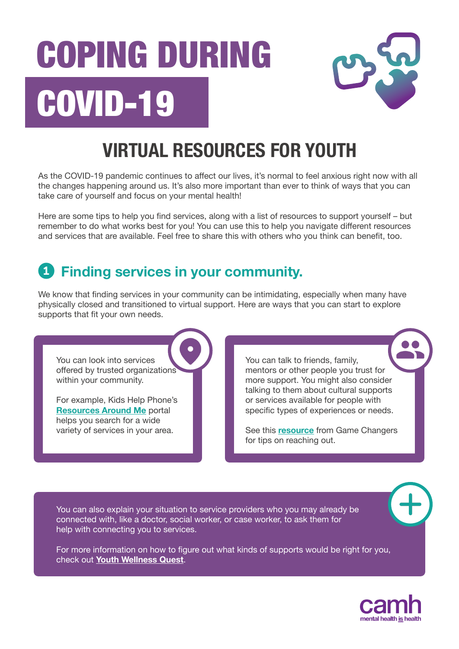# **COVID-19 COPING DURING**



## **VIRTUAL RESOURCES FOR YOUTH**

As the COVID-19 pandemic continues to affect our lives, it's normal to feel anxious right now with all the changes happening around us. It's also more important than ever to think of ways that you can take care of yourself and focus on your mental health!

Here are some tips to help you find services, along with a list of resources to support yourself – but remember to do what works best for you! You can use this to help you navigate different resources and services that are available. Feel free to share this with others who you think can benefit, too.

### **1 Finding services in your community.**

We know that finding services in your community can be intimidating, especially when many have physically closed and transitioned to virtual support. Here are ways that you can start to explore supports that fit your own needs.

You can look into services offered by trusted organizations within your community.

For example, Kids Help Phone's **[Resources Around Me](https://apps.kidshelpphone.ca/resourcesaroundme/welcome.html)** portal helps you search for a wide variety of services in your area.

You can talk to friends, family, mentors or other people you trust for more support. You might also consider talking to them about cultural supports or services available for people with specific types of experiences or needs.

See this **[resource](https://www.camh.ca/-/media/files/gc-talk-about-it-infographic-pdf.pdf?la=en&hash=00F3E0770E50BC42559600B8EF5B94EB172D252B)** from Game Changers for tips on reaching out.

You can also explain your situation to service providers who you may already be connected with, like a doctor, social worker, or case worker, to ask them for help with connecting you to services.

For more information on how to figure out what kinds of supports would be right for you, check out **[Youth Wellness Quest](https://www.youthwellnessquest.ca)**.